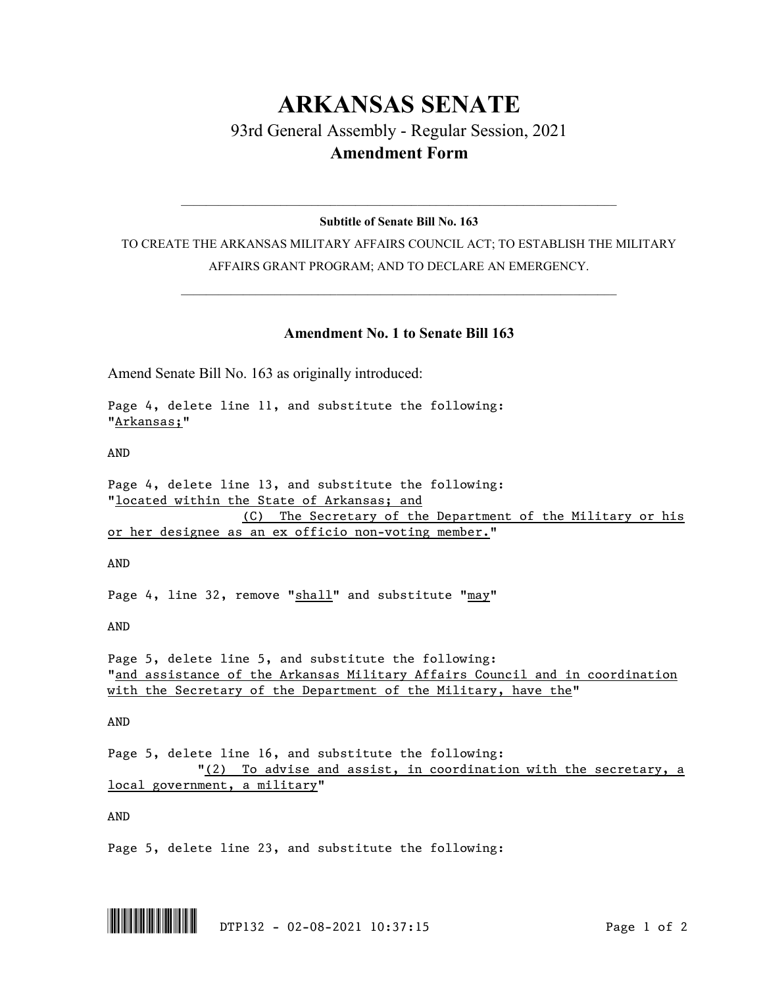## **ARKANSAS SENATE** 93rd General Assembly - Regular Session, 2021 **Amendment Form**

## $\_$  , and the set of the set of the set of the set of the set of the set of the set of the set of the set of the set of the set of the set of the set of the set of the set of the set of the set of the set of the set of th **Subtitle of Senate Bill No. 163**

TO CREATE THE ARKANSAS MILITARY AFFAIRS COUNCIL ACT; TO ESTABLISH THE MILITARY AFFAIRS GRANT PROGRAM; AND TO DECLARE AN EMERGENCY.

 $\_$  , and the set of the set of the set of the set of the set of the set of the set of the set of the set of the set of the set of the set of the set of the set of the set of the set of the set of the set of the set of th

## **Amendment No. 1 to Senate Bill 163**

Amend Senate Bill No. 163 as originally introduced:

Page 4, delete line 11, and substitute the following: "Arkansas;"

AND

Page 4, delete line 13, and substitute the following: "located within the State of Arkansas; and (C) The Secretary of the Department of the Military or his

or her designee as an ex officio non-voting member."

AND

Page 4, line 32, remove "shall" and substitute "may"

AND

Page 5, delete line 5, and substitute the following: "and assistance of the Arkansas Military Affairs Council and in coordination with the Secretary of the Department of the Military, have the"

AND

Page 5, delete line 16, and substitute the following: "(2) To advise and assist, in coordination with the secretary, a local government, a military"

AND

Page 5, delete line 23, and substitute the following: